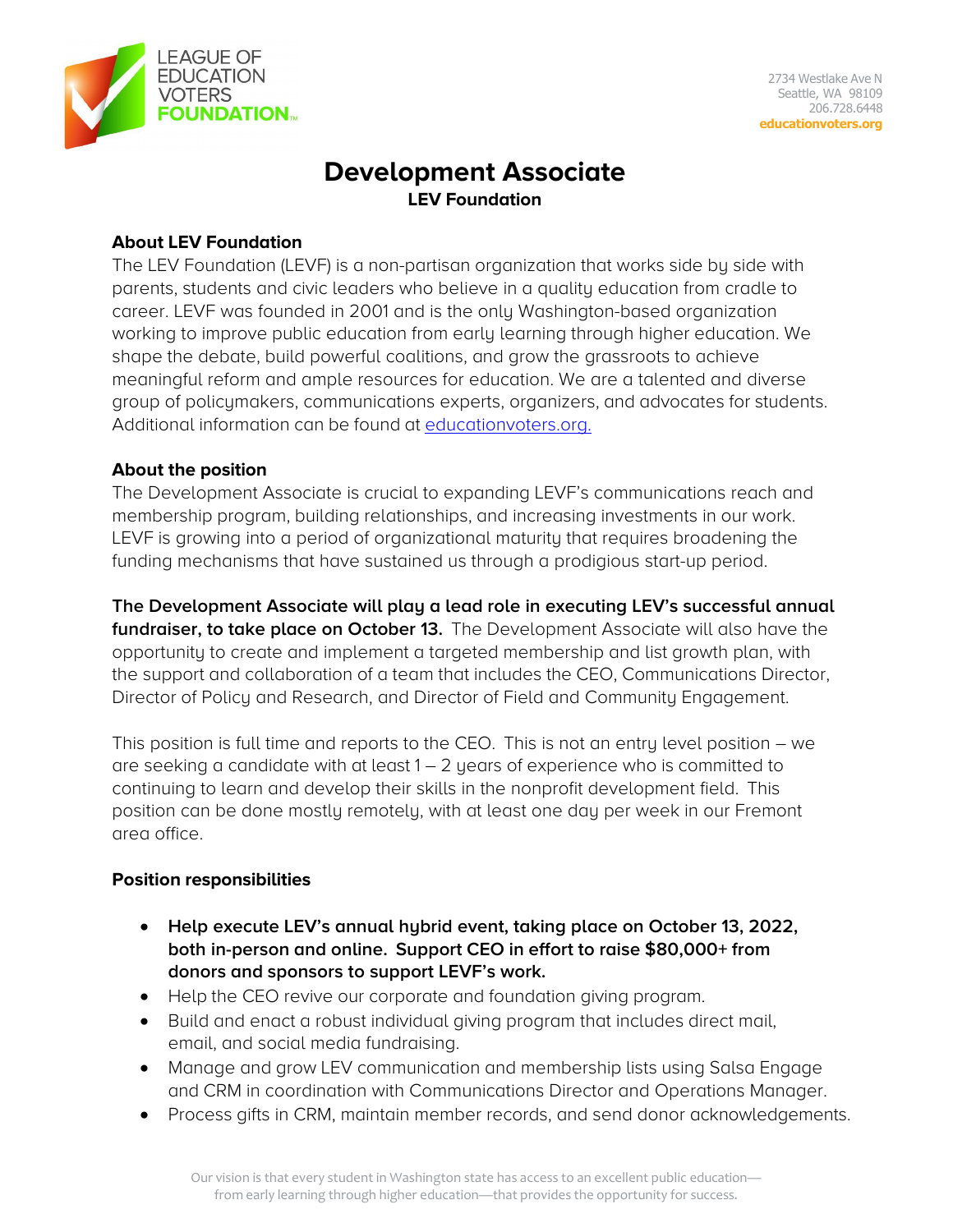

# **Development Associate LEV Foundation**

### **About LEV Foundation**

The LEV Foundation (LEVF) is a non-partisan organization that works side by side with parents, students and civic leaders who believe in a quality education from cradle to career. LEVF was founded in 2001 and is the only Washington-based organization working to improve public education from early learning through higher education. We shape the debate, build powerful coalitions, and grow the grassroots to achieve meaningful reform and ample resources for education. We are a talented and diverse group of policymakers, communications experts, organizers, and advocates for students. Additional information can be found at [educationvoters.org.](http://www.educationvoters.org/)

### **About the position**

The Development Associate is crucial to expanding LEVF's communications reach and membership program, building relationships, and increasing investments in our work. LEVF is growing into a period of organizational maturity that requires broadening the funding mechanisms that have sustained us through a prodigious start-up period.

**The Development Associate will play a lead role in executing LEV's successful annual fundraiser, to take place on October 13.** The Development Associate will also have the opportunity to create and implement a targeted membership and list growth plan, with the support and collaboration of a team that includes the CEO, Communications Director, Director of Policy and Research, and Director of Field and Community Engagement.

This position is full time and reports to the CEO. This is not an entry level position – we are seeking a candidate with at least  $1 - 2$  years of experience who is committed to continuing to learn and develop their skills in the nonprofit development field. This position can be done mostly remotely, with at least one day per week in our Fremont area office.

### **Position responsibilities**

- **Help execute LEV's annual hybrid event, taking place on October 13, 2022, both in-person and online. Support CEO in effort to raise \$80,000+ from donors and sponsors to support LEVF's work.**
- Help the CEO revive our corporate and foundation giving program.
- Build and enact a robust individual giving program that includes direct mail, email, and social media fundraising.
- Manage and grow LEV communication and membership lists using Salsa Engage and CRM in coordination with Communications Director and Operations Manager.
- Process gifts in CRM, maintain member records, and send donor acknowledgements.